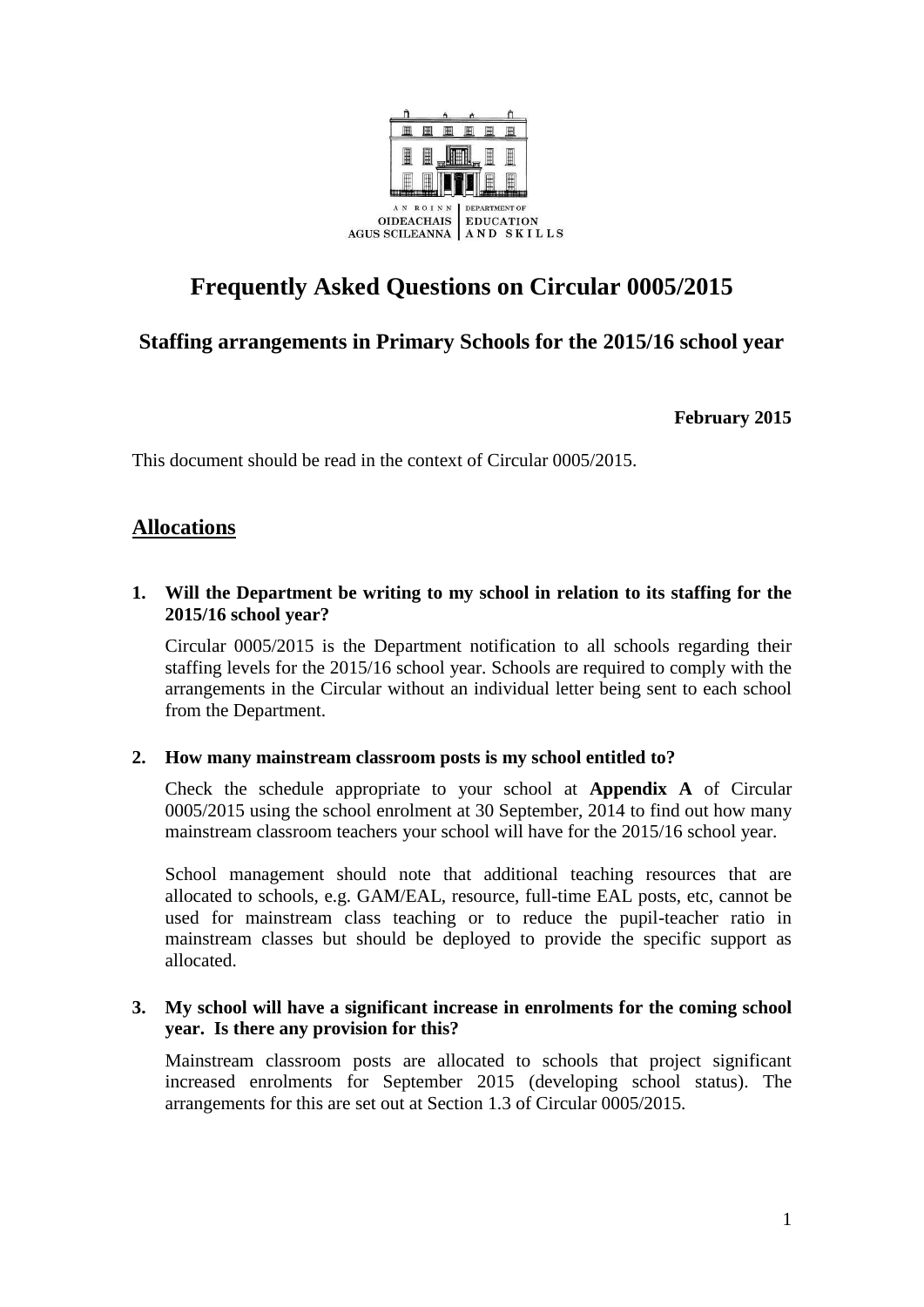

# **Frequently Asked Questions on Circular 0005/2015**

# **Staffing arrangements in Primary Schools for the 2015/16 school year**

**February 2015**

This document should be read in the context of Circular 0005/2015.

# **Allocations**

#### **1. Will the Department be writing to my school in relation to its staffing for the 2015/16 school year?**

Circular 0005/2015 is the Department notification to all schools regarding their staffing levels for the 2015/16 school year. Schools are required to comply with the arrangements in the Circular without an individual letter being sent to each school from the Department.

#### **2. How many mainstream classroom posts is my school entitled to?**

Check the schedule appropriate to your school at **Appendix A** of Circular 0005/2015 using the school enrolment at 30 September, 2014 to find out how many mainstream classroom teachers your school will have for the 2015/16 school year.

School management should note that additional teaching resources that are allocated to schools, e.g. GAM/EAL, resource, full-time EAL posts, etc, cannot be used for mainstream class teaching or to reduce the pupil-teacher ratio in mainstream classes but should be deployed to provide the specific support as allocated.

#### **3. My school will have a significant increase in enrolments for the coming school year. Is there any provision for this?**

Mainstream classroom posts are allocated to schools that project significant increased enrolments for September 2015 (developing school status). The arrangements for this are set out at Section 1.3 of Circular 0005/2015.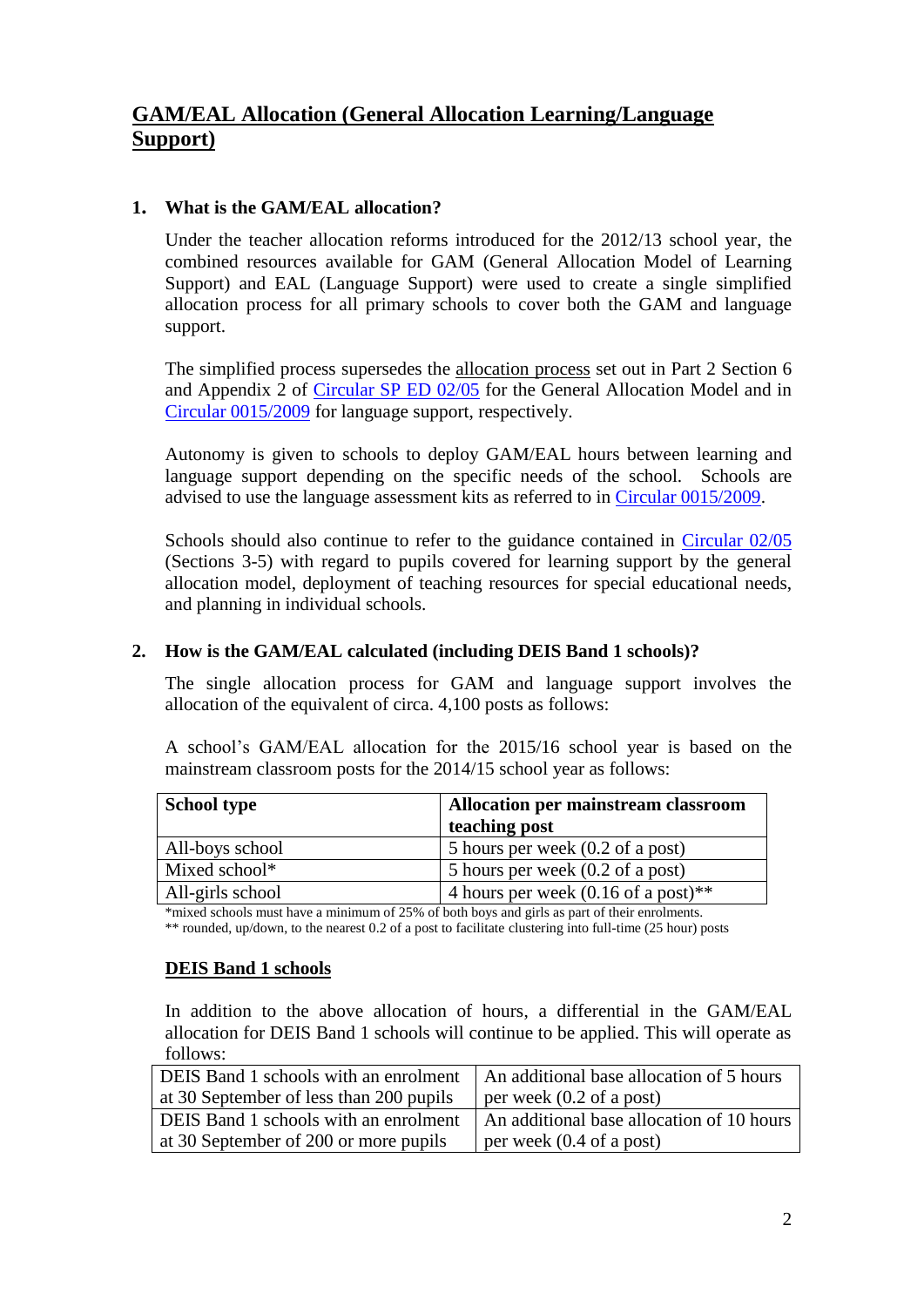# **GAM/EAL Allocation (General Allocation Learning/Language Support)**

#### **1. What is the GAM/EAL allocation?**

Under the teacher allocation reforms introduced for the 2012/13 school year, the combined resources available for GAM (General Allocation Model of Learning Support) and EAL (Language Support) were used to create a single simplified allocation process for all primary schools to cover both the GAM and language support.

The simplified process supersedes the allocation process set out in Part 2 Section 6 and Appendix 2 of [Circular SP ED 02/05](http://www.education.ie/en/Circulars-and-Forms/Active-Circulars/sp02_05.doc) for the General Allocation Model and in [Circular 0015/2009](http://www.education.ie/en/Circulars-and-Forms/Archived-Circulars/cl0015_2009.pdf) for language support, respectively.

Autonomy is given to schools to deploy GAM/EAL hours between learning and language support depending on the specific needs of the school. Schools are advised to use the language assessment kits as referred to in [Circular 0015/2009.](http://www.education.ie/en/Circulars-and-Forms/Archived-Circulars/cl0015_2009.pdf)

Schools should also continue to refer to the guidance contained in [Circular 02/05](http://www.education.ie/en/Circulars-and-Forms/Active-Circulars/sp02_05.doc) (Sections 3-5) with regard to pupils covered for learning support by the general allocation model, deployment of teaching resources for special educational needs, and planning in individual schools.

#### **2. How is the GAM/EAL calculated (including DEIS Band 1 schools)?**

The single allocation process for GAM and language support involves the allocation of the equivalent of circa. 4,100 posts as follows:

A school's GAM/EAL allocation for the 2015/16 school year is based on the mainstream classroom posts for the 2014/15 school year as follows:

| <b>School type</b> | Allocation per mainstream classroom            |
|--------------------|------------------------------------------------|
|                    | teaching post                                  |
| All-boys school    | 5 hours per week (0.2 of a post)               |
| Mixed school*      | 5 hours per week (0.2 of a post)               |
| All-girls school   | 4 hours per week $(0.16 \text{ of a post})$ ** |

\*mixed schools must have a minimum of 25% of both boys and girls as part of their enrolments. \*\* rounded, up/down, to the nearest 0.2 of a post to facilitate clustering into full-time (25 hour) posts

#### **DEIS Band 1 schools**

In addition to the above allocation of hours, a differential in the GAM/EAL allocation for DEIS Band 1 schools will continue to be applied. This will operate as follows:

| DEIS Band 1 schools with an enrolment   An additional base allocation of 5 hours |                                           |
|----------------------------------------------------------------------------------|-------------------------------------------|
| at 30 September of less than 200 pupils                                          | per week $(0.2 \text{ of a post})$        |
| <b>DEIS</b> Band 1 schools with an enrolment                                     | An additional base allocation of 10 hours |
| at 30 September of 200 or more pupils                                            | per week $(0.4 \text{ of a post})$        |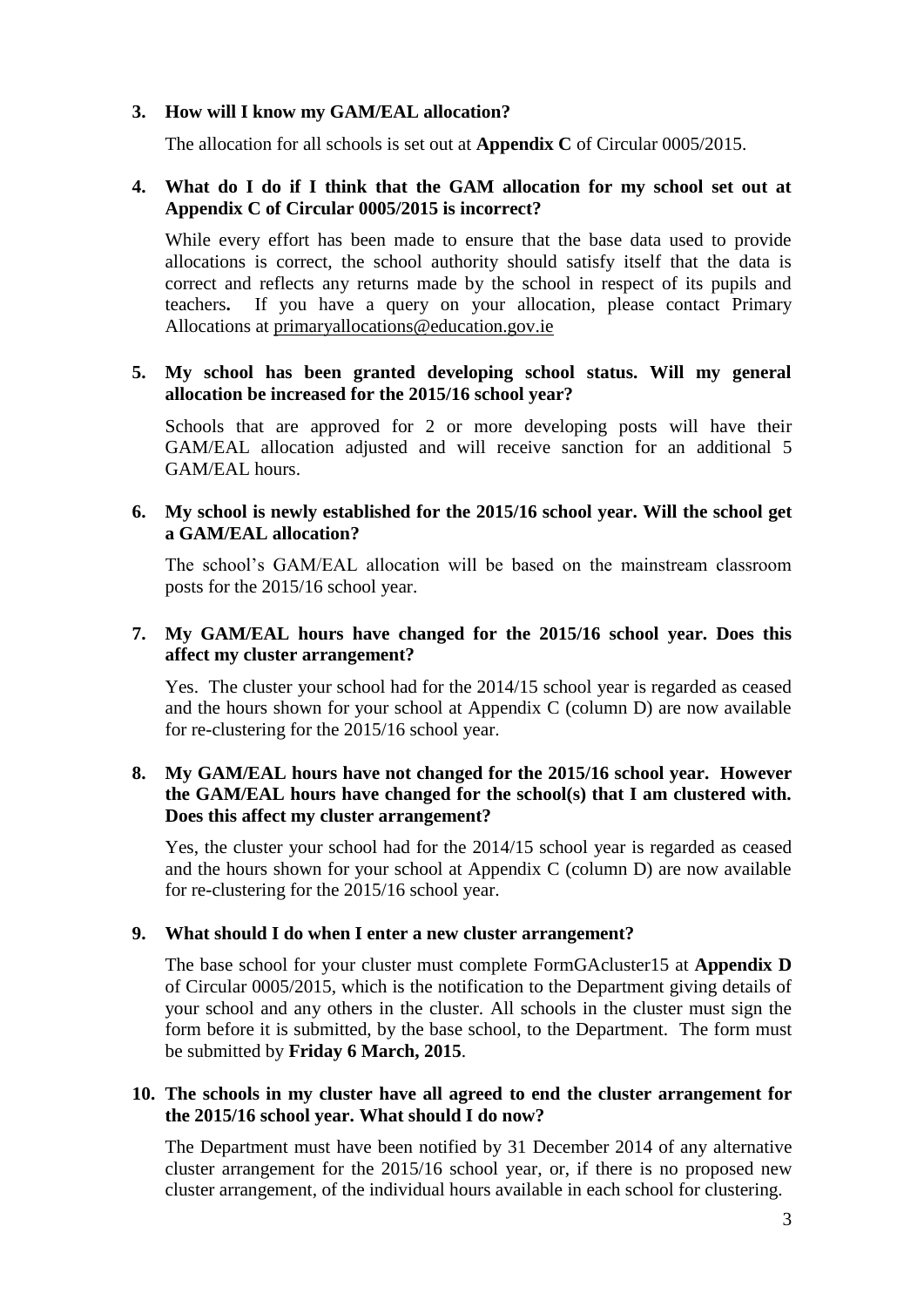#### **3. How will I know my GAM/EAL allocation?**

The allocation for all schools is set out at **Appendix C** of Circular 0005/2015.

#### **4. What do I do if I think that the GAM allocation for my school set out at Appendix C of Circular 0005/2015 is incorrect?**

While every effort has been made to ensure that the base data used to provide allocations is correct, the school authority should satisfy itself that the data is correct and reflects any returns made by the school in respect of its pupils and teachers**.** If you have a query on your allocation, please contact Primary Allocations at [primaryallocations@education.gov.ie](mailto:primaryallocations@education.gov.ie)

#### **5. My school has been granted developing school status. Will my general allocation be increased for the 2015/16 school year?**

Schools that are approved for 2 or more developing posts will have their GAM/EAL allocation adjusted and will receive sanction for an additional 5 GAM/EAL hours.

#### **6. My school is newly established for the 2015/16 school year. Will the school get a GAM/EAL allocation?**

The school's GAM/EAL allocation will be based on the mainstream classroom posts for the 2015/16 school year.

#### **7. My GAM/EAL hours have changed for the 2015/16 school year. Does this affect my cluster arrangement?**

Yes. The cluster your school had for the 2014/15 school year is regarded as ceased and the hours shown for your school at Appendix C (column D) are now available for re-clustering for the 2015/16 school year.

#### **8. My GAM/EAL hours have not changed for the 2015/16 school year. However the GAM/EAL hours have changed for the school(s) that I am clustered with. Does this affect my cluster arrangement?**

Yes, the cluster your school had for the 2014/15 school year is regarded as ceased and the hours shown for your school at Appendix C (column D) are now available for re-clustering for the 2015/16 school year.

#### **9. What should I do when I enter a new cluster arrangement?**

The base school for your cluster must complete FormGAcluster15 at **Appendix D** of Circular 0005/2015, which is the notification to the Department giving details of your school and any others in the cluster. All schools in the cluster must sign the form before it is submitted, by the base school, to the Department. The form must be submitted by **Friday 6 March, 2015**.

#### **10. The schools in my cluster have all agreed to end the cluster arrangement for the 2015/16 school year. What should I do now?**

The Department must have been notified by 31 December 2014 of any alternative cluster arrangement for the 2015/16 school year, or, if there is no proposed new cluster arrangement, of the individual hours available in each school for clustering.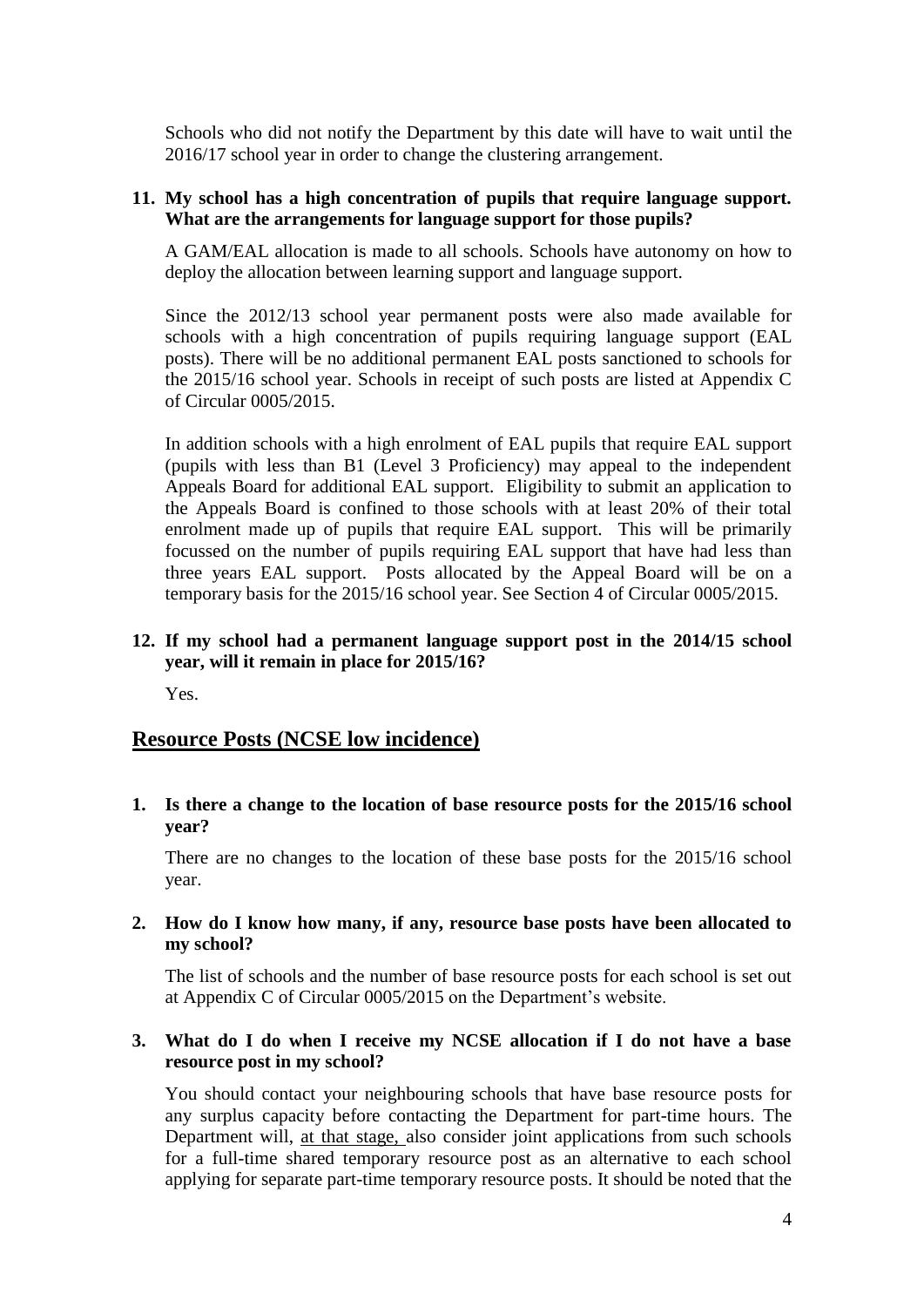Schools who did not notify the Department by this date will have to wait until the 2016/17 school year in order to change the clustering arrangement.

#### **11. My school has a high concentration of pupils that require language support. What are the arrangements for language support for those pupils?**

A GAM/EAL allocation is made to all schools. Schools have autonomy on how to deploy the allocation between learning support and language support.

Since the 2012/13 school year permanent posts were also made available for schools with a high concentration of pupils requiring language support (EAL posts). There will be no additional permanent EAL posts sanctioned to schools for the 2015/16 school year. Schools in receipt of such posts are listed at Appendix C of Circular 0005/2015.

In addition schools with a high enrolment of EAL pupils that require EAL support (pupils with less than B1 (Level 3 Proficiency) may appeal to the independent Appeals Board for additional EAL support. Eligibility to submit an application to the Appeals Board is confined to those schools with at least 20% of their total enrolment made up of pupils that require EAL support. This will be primarily focussed on the number of pupils requiring EAL support that have had less than three years EAL support. Posts allocated by the Appeal Board will be on a temporary basis for the 2015/16 school year. See Section 4 of Circular 0005/2015.

#### **12. If my school had a permanent language support post in the 2014/15 school year, will it remain in place for 2015/16?**

Yes.

#### **Resource Posts (NCSE low incidence)**

**1. Is there a change to the location of base resource posts for the 2015/16 school year?** 

There are no changes to the location of these base posts for the 2015/16 school year.

#### **2. How do I know how many, if any, resource base posts have been allocated to my school?**

The list of schools and the number of base resource posts for each school is set out at Appendix C of Circular 0005/2015 on the Department's website.

#### **3. What do I do when I receive my NCSE allocation if I do not have a base resource post in my school?**

You should contact your neighbouring schools that have base resource posts for any surplus capacity before contacting the Department for part-time hours. The Department will, at that stage, also consider joint applications from such schools for a full-time shared temporary resource post as an alternative to each school applying for separate part-time temporary resource posts. It should be noted that the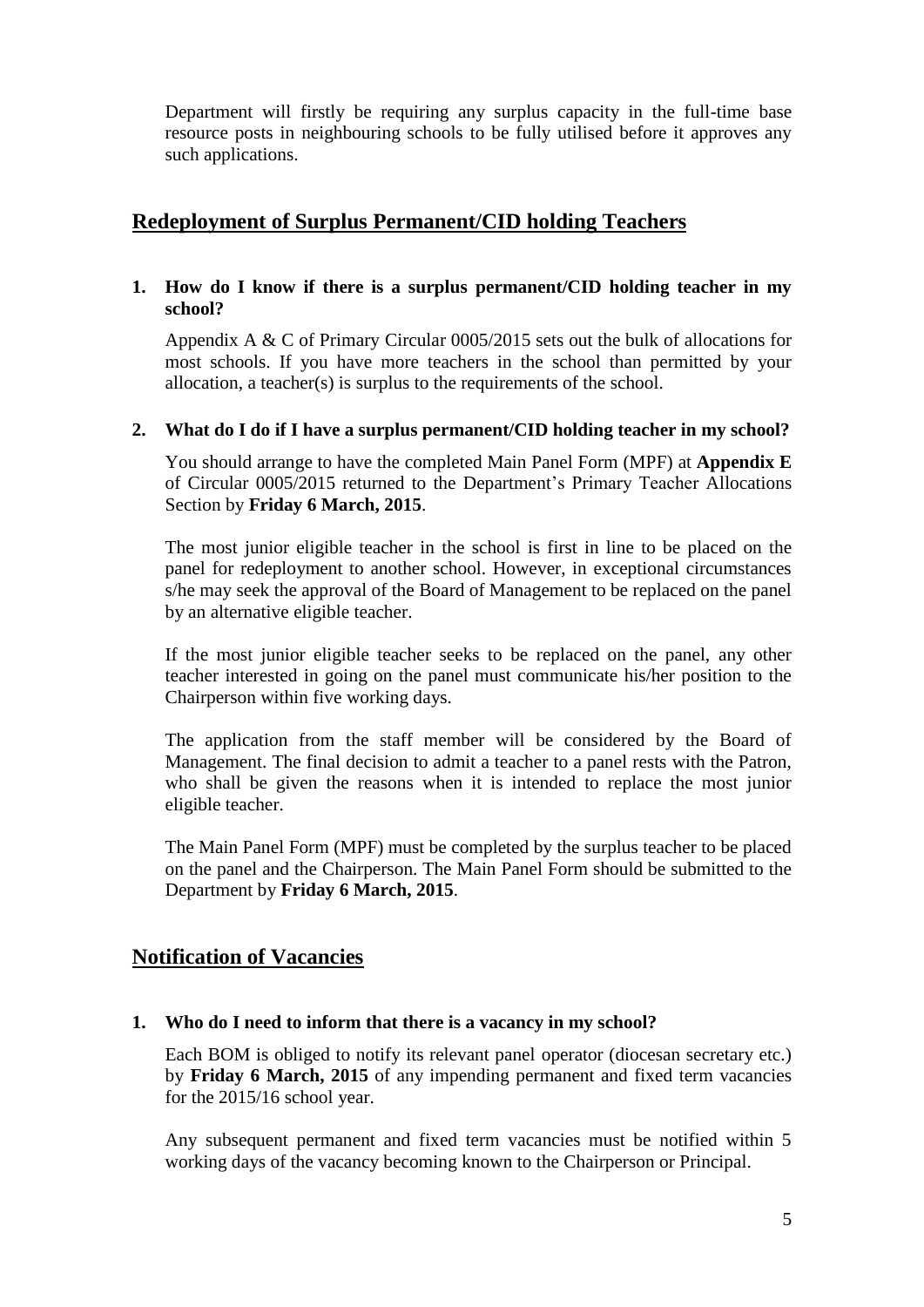Department will firstly be requiring any surplus capacity in the full-time base resource posts in neighbouring schools to be fully utilised before it approves any such applications.

### **Redeployment of Surplus Permanent/CID holding Teachers**

#### **1. How do I know if there is a surplus permanent/CID holding teacher in my school?**

Appendix A & C of Primary Circular 0005/2015 sets out the bulk of allocations for most schools. If you have more teachers in the school than permitted by your allocation, a teacher(s) is surplus to the requirements of the school.

#### **2. What do I do if I have a surplus permanent/CID holding teacher in my school?**

You should arrange to have the completed Main Panel Form (MPF) at **Appendix E** of Circular 0005/2015 returned to the Department's Primary Teacher Allocations Section by **Friday 6 March, 2015**.

The most junior eligible teacher in the school is first in line to be placed on the panel for redeployment to another school. However, in exceptional circumstances s/he may seek the approval of the Board of Management to be replaced on the panel by an alternative eligible teacher.

If the most junior eligible teacher seeks to be replaced on the panel, any other teacher interested in going on the panel must communicate his/her position to the Chairperson within five working days.

The application from the staff member will be considered by the Board of Management. The final decision to admit a teacher to a panel rests with the Patron, who shall be given the reasons when it is intended to replace the most junior eligible teacher.

The Main Panel Form (MPF) must be completed by the surplus teacher to be placed on the panel and the Chairperson. The Main Panel Form should be submitted to the Department by **Friday 6 March, 2015**.

# **Notification of Vacancies**

#### **1. Who do I need to inform that there is a vacancy in my school?**

Each BOM is obliged to notify its relevant panel operator (diocesan secretary etc.) by **Friday 6 March, 2015** of any impending permanent and fixed term vacancies for the 2015/16 school year.

Any subsequent permanent and fixed term vacancies must be notified within 5 working days of the vacancy becoming known to the Chairperson or Principal.